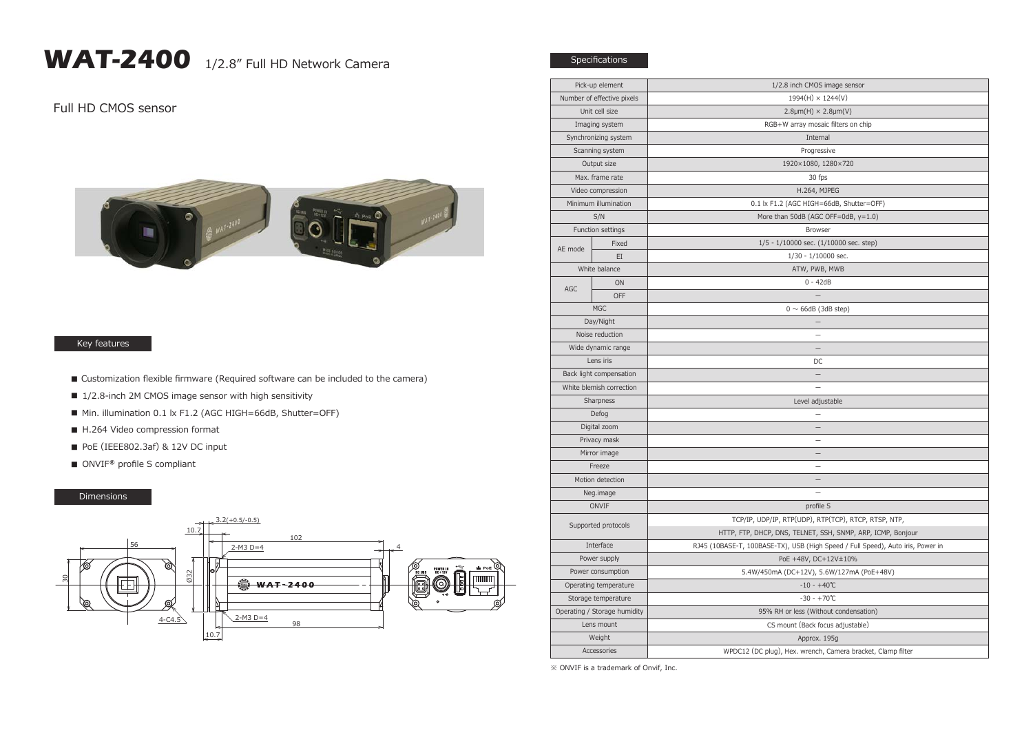## WAT-2400 1/2.8" Full HD Network Camera

## Full HD CMOS sensor



## Key features

- Customization flexible firmware (Required software can be included to the camera)
- 1/2.8-inch 2M CMOS image sensor with high sensitivity
- Min. illumination 0.1 lx F1.2 (AGC HIGH=66dB, Shutter=OFF)
- H.264 Video compression format
- PoE (IEEE802.3af) & 12V DC input
- ONVIF<sup>®</sup> profile S compliant

## Dimensions



| Pick-up element              |             | 1/2.8 inch CMOS image sensor                                                    |
|------------------------------|-------------|---------------------------------------------------------------------------------|
| Number of effective pixels   |             | $1994(H) \times 1244(V)$                                                        |
| Unit cell size               |             | $2.8 \mu m(H) \times 2.8 \mu m(V)$                                              |
| Imaging system               |             | RGB+W array mosaic filters on chip                                              |
| Synchronizing system         |             | Internal                                                                        |
| Scanning system              |             | Progressive                                                                     |
| Output size                  |             | 1920×1080, 1280×720                                                             |
| Max. frame rate              |             | 30 fps                                                                          |
| Video compression            |             | H.264, MJPEG                                                                    |
| Minimum illumination         |             | 0.1 lx F1.2 (AGC HIGH=66dB, Shutter=OFF)                                        |
| S/N                          |             | More than 50dB (AGC OFF=0dB, y=1.0)                                             |
| Function settings            |             | <b>Browser</b>                                                                  |
| AE mode                      | Fixed       | $1/5 - 1/10000$ sec. $(1/10000$ sec. step)                                      |
|                              | EI          | $1/30 - 1/10000$ sec.                                                           |
| White balance                |             | ATW, PWB, MWB                                                                   |
| AGC                          | ON          | $0 - 42dB$                                                                      |
|                              | <b>OFF</b>  |                                                                                 |
| <b>MGC</b>                   |             | $0 \sim 66$ dB (3dB step)                                                       |
| Day/Night                    |             |                                                                                 |
| Noise reduction              |             | $\overline{\phantom{0}}$                                                        |
| Wide dynamic range           |             | $\overline{\phantom{0}}$                                                        |
| Lens iris                    |             | DC                                                                              |
| Back light compensation      |             | $\qquad \qquad -$                                                               |
| White blemish correction     |             |                                                                                 |
| Sharpness                    |             | Level adjustable                                                                |
| Defog                        |             |                                                                                 |
| Digital zoom                 |             |                                                                                 |
| Privacy mask                 |             |                                                                                 |
| Mirror image                 |             | $\overline{\phantom{0}}$                                                        |
| Freeze                       |             |                                                                                 |
| Motion detection             |             | $\qquad \qquad -$                                                               |
| Neg.image                    |             |                                                                                 |
| ONVIF                        |             | profile S                                                                       |
| Supported protocols          |             | TCP/IP, UDP/IP, RTP(UDP), RTP(TCP), RTCP, RTSP, NTP,                            |
|                              |             | HTTP, FTP, DHCP, DNS, TELNET, SSH, SNMP, ARP, ICMP, Bonjour                     |
| Interface                    |             | RJ45 (10BASE-T, 100BASE-TX), USB (High Speed / Full Speed), Auto iris, Power in |
| Power supply                 |             | PoE +48V, DC+12V±10%                                                            |
| Power consumption            |             | 5.4W/450mA (DC+12V), 5.6W/127mA (PoE+48V)                                       |
| Operating temperature        |             | $-10 - +40$ °C                                                                  |
| Storage temperature          |             | $-30 - +70$ °C                                                                  |
| Operating / Storage humidity |             | 95% RH or less (Without condensation)                                           |
| Lens mount                   |             | CS mount (Back focus adjustable)                                                |
| Weight                       |             | Approx. 195g                                                                    |
|                              | Accessories | WPDC12 (DC plug), Hex. wrench, Camera bracket, Clamp filter                     |
|                              |             |                                                                                 |

※ ONVIF is a trademark of Onvif, Inc.

Specifications